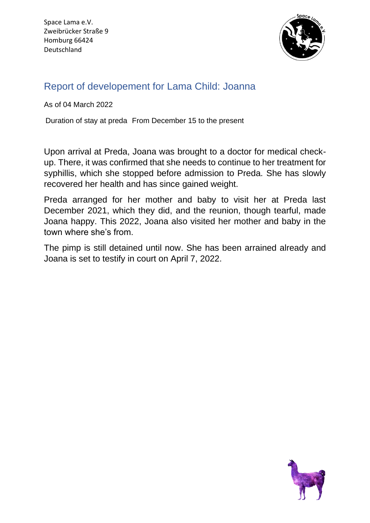

## Report of developement for Lama Child: Joanna

As of 04 March 2022

Duration of stay at preda From December 15 to the present

Upon arrival at Preda, Joana was brought to a doctor for medical checkup. There, it was confirmed that she needs to continue to her treatment for syphillis, which she stopped before admission to Preda. She has slowly recovered her health and has since gained weight.

Preda arranged for her mother and baby to visit her at Preda last December 2021, which they did, and the reunion, though tearful, made Joana happy. This 2022, Joana also visited her mother and baby in the town where she's from.

The pimp is still detained until now. She has been arrained already and Joana is set to testify in court on April 7, 2022.